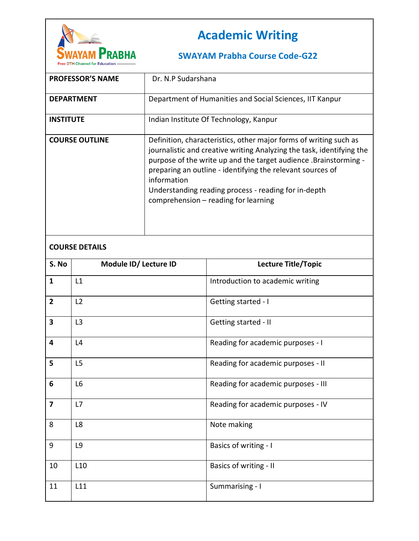

## **Academic Writing**

## **SWAYAM Prabha Course Code-G22**

| <b>PROFESSOR'S NAME</b> | Dr. N.P Sudarshana                                                                                                                                                                                                                                                                                                                                                                          |
|-------------------------|---------------------------------------------------------------------------------------------------------------------------------------------------------------------------------------------------------------------------------------------------------------------------------------------------------------------------------------------------------------------------------------------|
| <b>DEPARTMENT</b>       | Department of Humanities and Social Sciences, IIT Kanpur                                                                                                                                                                                                                                                                                                                                    |
| <b>INSTITUTE</b>        | Indian Institute Of Technology, Kanpur                                                                                                                                                                                                                                                                                                                                                      |
| <b>COURSE OUTLINE</b>   | Definition, characteristics, other major forms of writing such as<br>journalistic and creative writing Analyzing the task, identifying the<br>purpose of the write up and the target audience. Brainstorming -<br>preparing an outline - identifying the relevant sources of<br>information<br>Understanding reading process - reading for in-depth<br>comprehension - reading for learning |

## **COURSE DETAILS**

| S. No                   | Module ID/ Lecture ID | Lecture Title/Topic                 |
|-------------------------|-----------------------|-------------------------------------|
| $\mathbf{1}$            | L1                    | Introduction to academic writing    |
| $\overline{2}$          | L2                    | Getting started - I                 |
| $\overline{\mathbf{3}}$ | L3                    | Getting started - II                |
| $\overline{\mathbf{4}}$ | L4                    | Reading for academic purposes - I   |
| 5                       | L5                    | Reading for academic purposes - II  |
| $6\phantom{1}6$         | L <sub>6</sub>        | Reading for academic purposes - III |
| $\overline{\mathbf{z}}$ | L7                    | Reading for academic purposes - IV  |
| 8                       | L8                    | Note making                         |
| 9                       | L9                    | Basics of writing - I               |
| 10                      | L <sub>10</sub>       | Basics of writing - II              |
| 11                      | L11                   | Summarising - I                     |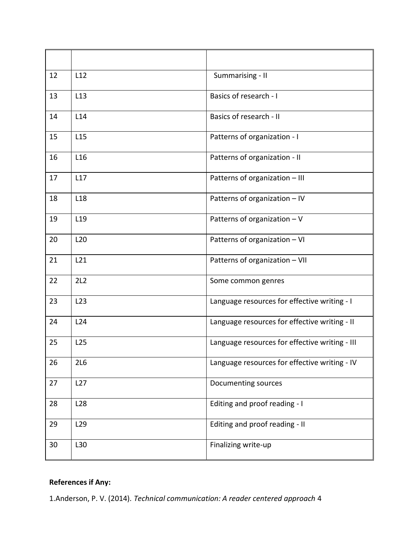| 12 | L12             | Summarising - II                               |
|----|-----------------|------------------------------------------------|
| 13 | L <sub>13</sub> | Basics of research - I                         |
| 14 | L14             | Basics of research - II                        |
| 15 | L <sub>15</sub> | Patterns of organization - I                   |
| 16 | L <sub>16</sub> | Patterns of organization - II                  |
| 17 | L17             | Patterns of organization - III                 |
| 18 | L <sub>18</sub> | Patterns of organization - IV                  |
| 19 | L <sub>19</sub> | Patterns of organization $-V$                  |
| 20 | L20             | Patterns of organization - VI                  |
| 21 | L21             | Patterns of organization - VII                 |
| 22 | 2L2             | Some common genres                             |
| 23 | L23             | Language resources for effective writing - I   |
| 24 | L24             | Language resources for effective writing - II  |
| 25 | L <sub>25</sub> | Language resources for effective writing - III |
| 26 | 2L6             | Language resources for effective writing - IV  |
| 27 | L27             | Documenting sources                            |
| 28 | L <sub>28</sub> | Editing and proof reading - I                  |
| 29 | L <sub>29</sub> | Editing and proof reading - II                 |
| 30 | L30             | Finalizing write-up                            |

## **References if Any:**

1.Anderson, P. V. (2014). *Technical communication: A reader centered approach* 4